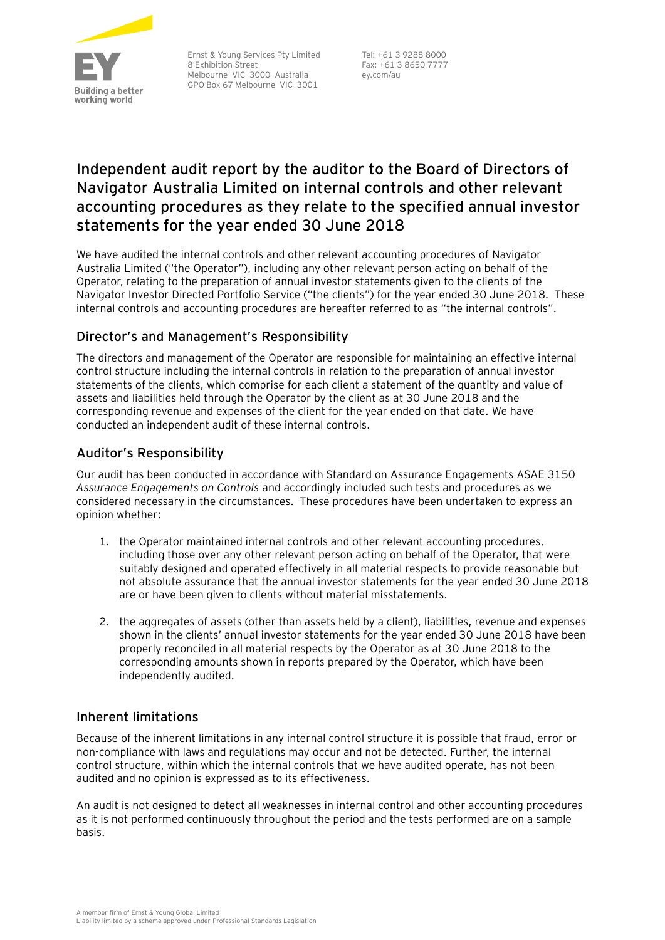

Ernst & Young Services Pty Limited 8 Exhibition Street Melbourne VIC 3000 Australia GPO Box 67 Melbourne VIC 3001

Tel: +61 3 9288 8000 Fax: +61 3 8650 7777 ey.com/au

# **Independent audit report by the auditor to the Board of Directors of Navigator Australia Limited on internal controls and other relevant accounting procedures as they relate to the specified annual investor statements for the year ended 30 June 2018**

We have audited the internal controls and other relevant accounting procedures of Navigator Australia Limited ("the Operator"), including any other relevant person acting on behalf of the Operator, relating to the preparation of annual investor statements given to the clients of the Navigator Investor Directed Portfolio Service ("the clients") for the year ended 30 June 2018. These internal controls and accounting procedures are hereafter referred to as "the internal controls".

# Director's and Management's Responsibility

The directors and management of the Operator are responsible for maintaining an effective internal control structure including the internal controls in relation to the preparation of annual investor statements of the clients, which comprise for each client a statement of the quantity and value of assets and liabilities held through the Operator by the client as at 30 June 2018 and the corresponding revenue and expenses of the client for the year ended on that date. We have conducted an independent audit of these internal controls.

# Auditor's Responsibility

Our audit has been conducted in accordance with Standard on Assurance Engagements ASAE 3150 *Assurance Engagements on Controls* and accordingly included such tests and procedures as we considered necessary in the circumstances. These procedures have been undertaken to express an opinion whether:

- 1. the Operator maintained internal controls and other relevant accounting procedures, including those over any other relevant person acting on behalf of the Operator, that were suitably designed and operated effectively in all material respects to provide reasonable but not absolute assurance that the annual investor statements for the year ended 30 June 2018 are or have been given to clients without material misstatements.
- 2. the aggregates of assets (other than assets held by a client), liabilities, revenue and expenses shown in the clients' annual investor statements for the year ended 30 June 2018 have been properly reconciled in all material respects by the Operator as at 30 June 2018 to the corresponding amounts shown in reports prepared by the Operator, which have been independently audited.

## Inherent limitations

Because of the inherent limitations in any internal control structure it is possible that fraud, error or non-compliance with laws and regulations may occur and not be detected. Further, the internal control structure, within which the internal controls that we have audited operate, has not been audited and no opinion is expressed as to its effectiveness.

An audit is not designed to detect all weaknesses in internal control and other accounting procedures as it is not performed continuously throughout the period and the tests performed are on a sample basis.